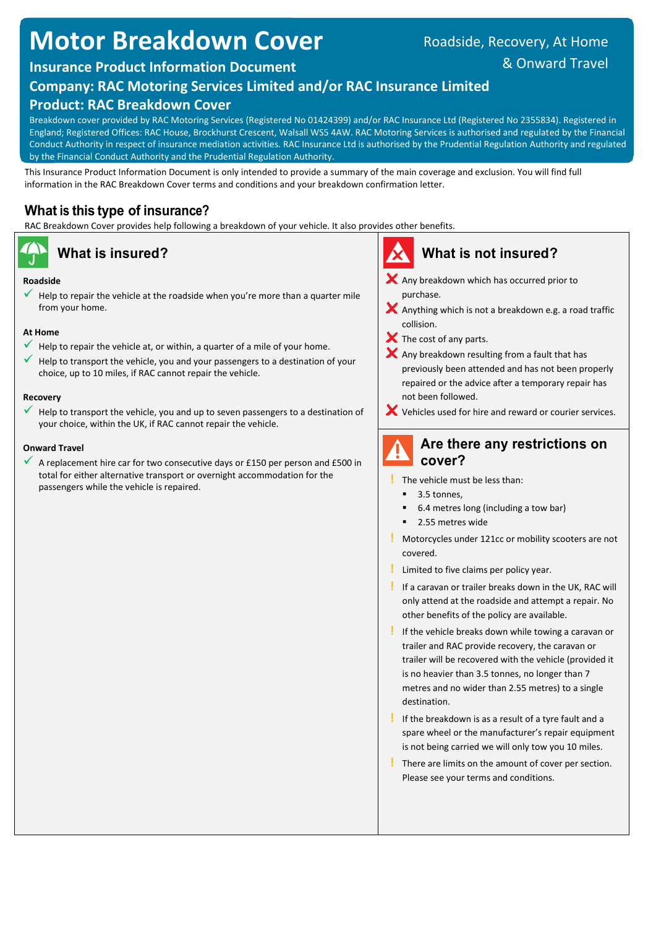# **Motor Breakdown Cover**

## Roadside, Recovery, At Home

## & Onward Travel

## **Insurance Product Information Document**

## **Company: RAC Motoring Services Limited and/or RAC Insurance Limited**

## **Product: RAC Breakdown Cover**

Breakdown cover provided by RAC Motoring Services (Registered No 01424399) and/or RAC Insurance Ltd (Registered No 2355834). Registered in England; Registered Offices: RAC House, Brockhurst Crescent, Walsall WS5 4AW. RAC Motoring Services is authorised and regulated by the Financial Conduct Authority in respect of insurance mediation activities. RAC Insurance Ltd is authorised by the Prudential Regulation Authority and regulated by the Financial Conduct Authority and the Prudential Regulation Authority.

This Insurance Product Information Document is only intended to provide a summary of the main coverage and exclusion. You will find full information in the RAC Breakdown Cover terms and conditions and your breakdown confirmation letter.

## **What is this type of insurance?**

RAC Breakdown Cover provides help following a breakdown of your vehicle. It also provides other benefits.

### **Roadside**

 Help to repair the vehicle at the roadside when you're more than a quarter mile from your home.

### **At Home**

- Help to repair the vehicle at, or within, a quarter of a mile of your home.
- $\checkmark$  Help to transport the vehicle, you and your passengers to a destination of your choice, up to 10 miles, if RAC cannot repair the vehicle.

### **Recovery**

 Help to transport the vehicle, you and up to seven passengers to a destination of your choice, within the UK, if RAC cannot repair the vehicle.

### **Onward Travel**

 A replacement hire car for two consecutive days or £150 per person and £500 in total for either alternative transport or overnight accommodation for the passengers while the vehicle is repaired.

## **What is insured? What is not insured?**

- X Any breakdown which has occurred prior to purchase.
- $\blacktriangleright$  Anything which is not a breakdown e.g. a road traffic collision.
- $\boldsymbol{\times}$  The cost of any parts.
- $\blacktriangleright$  Any breakdown resulting from a fault that has previously been attended and has not been properly repaired or the advice after a temporary repair has not been followed.
- Vehicles used for hire and reward or courier services.

## **Are there any restrictions on cover?**

- **!** The vehicle must be less than:
	- 3.5 tonnes,
	- 6.4 metres long (including a tow bar)
	- 2.55 metres wide
- **!** Motorcycles under 121cc or mobility scooters are not covered.
- **!** Limited to five claims per policy year.
- **!** If a caravan or trailer breaks down in the UK, RAC will only attend at the roadside and attempt a repair. No other benefits of the policy are available.
- **!** If the vehicle breaks down while towing a caravan or trailer and RAC provide recovery, the caravan or trailer will be recovered with the vehicle (provided it is no heavier than 3.5 tonnes, no longer than 7 metres and no wider than 2.55 metres) to a single destination.
- **!** If the breakdown is as a result of a tyre fault and a spare wheel or the manufacturer's repair equipment is not being carried we will only tow you 10 miles.
- **!** There are limits on the amount of cover per section. Please see your terms and conditions.